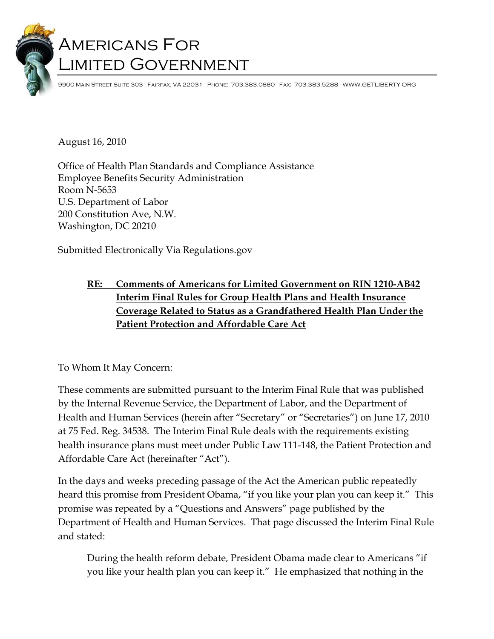# Americans For Limited Government

9900 Main Street Suite 303 · Fairfax, VA 22031 · Phone: 703.383.0880 · Fax: 703.383.5288 · WWW.GETLIBERTY.ORG

August 16, 2010

Office of Health Plan Standards and Compliance Assistance Employee Benefits Security Administration Room N-5653 U.S. Department of Labor 200 Constitution Ave, N.W. Washington, DC 20210

Submitted Electronically Via Regulations.gov

# **RE: Comments of Americans for Limited Government on RIN 1210-AB42 Interim Final Rules for Group Health Plans and Health Insurance Coverage Related to Status as a Grandfathered Health Plan Under the Patient Protection and Affordable Care Act**

#### To Whom It May Concern:

These comments are submitted pursuant to the Interim Final Rule that was published by the Internal Revenue Service, the Department of Labor, and the Department of Health and Human Services (herein after "Secretary" or "Secretaries") on June 17, 2010 at 75 Fed. Reg. 34538. The Interim Final Rule deals with the requirements existing health insurance plans must meet under Public Law 111-148, the Patient Protection and Affordable Care Act (hereinafter "Act").

In the days and weeks preceding passage of the Act the American public repeatedly heard this promise from President Obama, "if you like your plan you can keep it." This promise was repeated by a "Questions and Answers" page published by the Department of Health and Human Services. That page discussed the Interim Final Rule and stated:

During the health reform debate, President Obama made clear to Americans "if you like your health plan you can keep it." He emphasized that nothing in the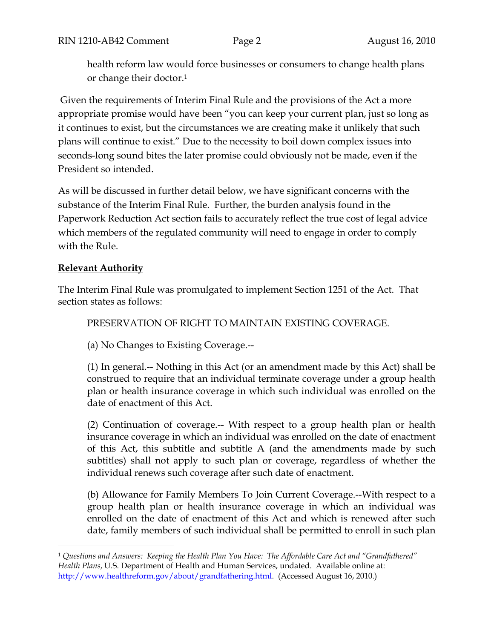health reform law would force businesses or consumers to change health plans or change their doctor.1

 Given the requirements of Interim Final Rule and the provisions of the Act a more appropriate promise would have been "you can keep your current plan, just so long as it continues to exist, but the circumstances we are creating make it unlikely that such plans will continue to exist." Due to the necessity to boil down complex issues into seconds-long sound bites the later promise could obviously not be made, even if the President so intended.

As will be discussed in further detail below, we have significant concerns with the substance of the Interim Final Rule. Further, the burden analysis found in the Paperwork Reduction Act section fails to accurately reflect the true cost of legal advice which members of the regulated community will need to engage in order to comply with the Rule.

## **Relevant Authority**

 $\overline{a}$ 

The Interim Final Rule was promulgated to implement Section 1251 of the Act. That section states as follows:

PRESERVATION OF RIGHT TO MAINTAIN EXISTING COVERAGE.

(a) No Changes to Existing Coverage.--

(1) In general.-- Nothing in this Act (or an amendment made by this Act) shall be construed to require that an individual terminate coverage under a group health plan or health insurance coverage in which such individual was enrolled on the date of enactment of this Act.

(2) Continuation of coverage.-- With respect to a group health plan or health insurance coverage in which an individual was enrolled on the date of enactment of this Act, this subtitle and subtitle A (and the amendments made by such subtitles) shall not apply to such plan or coverage, regardless of whether the individual renews such coverage after such date of enactment.

(b) Allowance for Family Members To Join Current Coverage.--With respect to a group health plan or health insurance coverage in which an individual was enrolled on the date of enactment of this Act and which is renewed after such date, family members of such individual shall be permitted to enroll in such plan

<sup>1</sup> *Questions and Answers: Keeping the Health Plan You Have: The Affordable Care Act and "Grandfathered" Health Plans*, U.S. Department of Health and Human Services, undated. Available online at: http://www.healthreform.gov/about/grandfathering.html. (Accessed August 16, 2010.)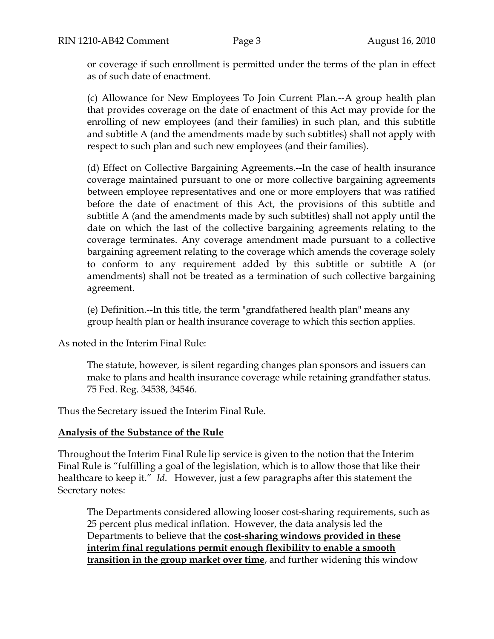or coverage if such enrollment is permitted under the terms of the plan in effect as of such date of enactment.

(c) Allowance for New Employees To Join Current Plan.--A group health plan that provides coverage on the date of enactment of this Act may provide for the enrolling of new employees (and their families) in such plan, and this subtitle and subtitle A (and the amendments made by such subtitles) shall not apply with respect to such plan and such new employees (and their families).

(d) Effect on Collective Bargaining Agreements.--In the case of health insurance coverage maintained pursuant to one or more collective bargaining agreements between employee representatives and one or more employers that was ratified before the date of enactment of this Act, the provisions of this subtitle and subtitle A (and the amendments made by such subtitles) shall not apply until the date on which the last of the collective bargaining agreements relating to the coverage terminates. Any coverage amendment made pursuant to a collective bargaining agreement relating to the coverage which amends the coverage solely to conform to any requirement added by this subtitle or subtitle A (or amendments) shall not be treated as a termination of such collective bargaining agreement.

(e) Definition.--In this title, the term "grandfathered health plan" means any group health plan or health insurance coverage to which this section applies.

As noted in the Interim Final Rule:

The statute, however, is silent regarding changes plan sponsors and issuers can make to plans and health insurance coverage while retaining grandfather status. 75 Fed. Reg. 34538, 34546.

Thus the Secretary issued the Interim Final Rule.

#### **Analysis of the Substance of the Rule**

Throughout the Interim Final Rule lip service is given to the notion that the Interim Final Rule is "fulfilling a goal of the legislation, which is to allow those that like their healthcare to keep it." *Id*. However, just a few paragraphs after this statement the Secretary notes:

The Departments considered allowing looser cost-sharing requirements, such as 25 percent plus medical inflation. However, the data analysis led the Departments to believe that the **cost-sharing windows provided in these interim final regulations permit enough flexibility to enable a smooth transition in the group market over time**, and further widening this window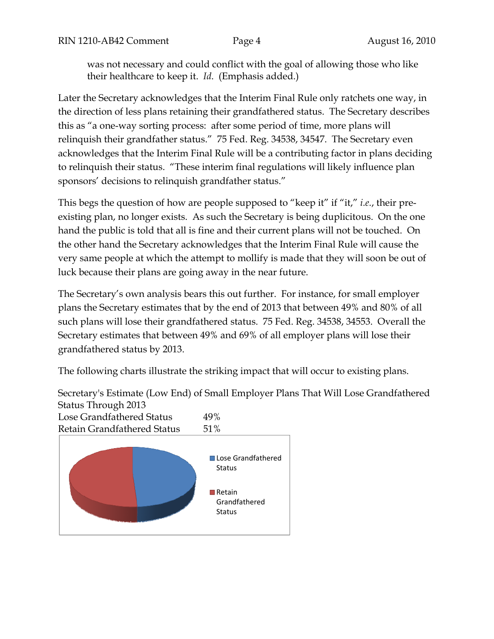was not necessary and could conflict with the goal of allowing those who like their healthcare to keep it. *Id*. (Emphasis added.)

Later the Secretary acknowledges that the Interim Final Rule only ratchets one way, in the direction of less plans retaining their grandfathered status. The Secretary describes this as "a one-way sorting process: after some period of time, more plans will relinquish their grandfather status." 75 Fed. Reg. 34538, 34547. The Secretary even acknowledges that the Interim Final Rule will be a contributing factor in plans deciding to relinquish their status. "These interim final regulations will likely influence plan sponsors' decisions to relinquish grandfather status."

This begs the question of how are people supposed to "keep it" if "it," *i.e.*, their preexisting plan, no longer exists. As such the Secretary is being duplicitous. On the one hand the public is told that all is fine and their current plans will not be touched. On the other hand the Secretary acknowledges that the Interim Final Rule will cause the very same people at which the attempt to mollify is made that they will soon be out of luck because their plans are going away in the near future.

The Secretary's own analysis bears this out further. For instance, for small employer plans the Secretary estimates that by the end of 2013 that between 49% and 80% of all such plans will lose their grandfathered status. 75 Fed. Reg. 34538, 34553. Overall the Secretary estimates that between 49% and 69% of all employer plans will lose their grandfathered status by 2013.

The following charts illustrate the striking impact that will occur to existing plans.

Secretary's Estimate (Low End) of Small Employer Plans That Will Lose Grandfathered Status Through 2013

Lose Grandfathered Status 49% Retain Grandfathered Status 51%

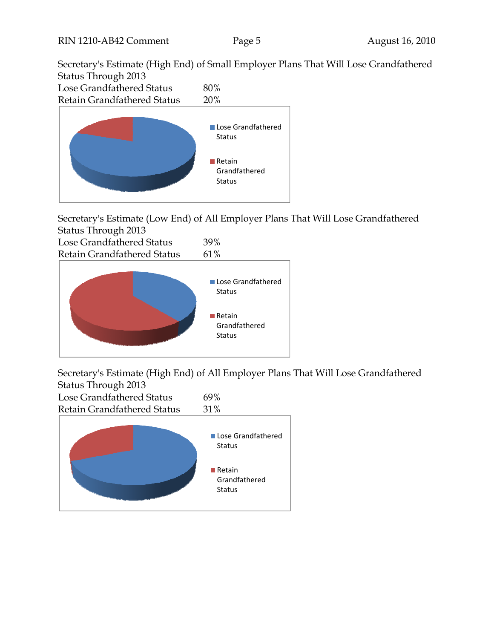Secretary's Estimate (High End) of Small Employer Plans That Will Lose Grandfathered Status Through 2013



Secretary's Estimate (Low End) of All Employer Plans That Will Lose Grandfathered Status Through 2013

| Lose Grandfathered Status   | 39%  |  |
|-----------------------------|------|--|
| Retain Grandfathered Status | 61\% |  |
|                             |      |  |



Secretary's Estimate (High End) of All Employer Plans That Will Lose Grandfathered Status Through 2013

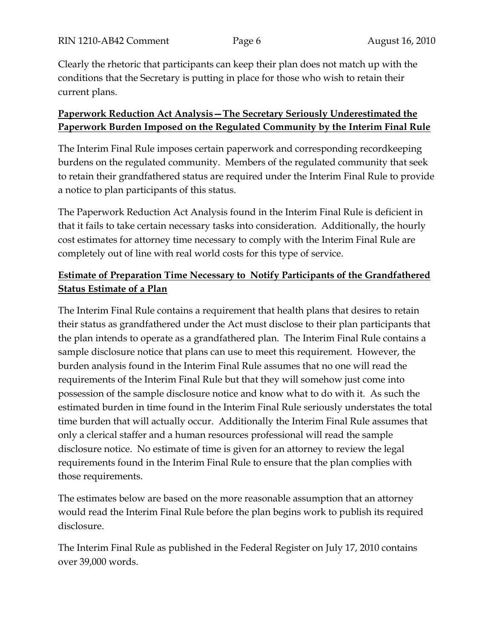Clearly the rhetoric that participants can keep their plan does not match up with the conditions that the Secretary is putting in place for those who wish to retain their current plans.

## **Paperwork Reduction Act Analysis—The Secretary Seriously Underestimated the Paperwork Burden Imposed on the Regulated Community by the Interim Final Rule**

The Interim Final Rule imposes certain paperwork and corresponding recordkeeping burdens on the regulated community. Members of the regulated community that seek to retain their grandfathered status are required under the Interim Final Rule to provide a notice to plan participants of this status.

The Paperwork Reduction Act Analysis found in the Interim Final Rule is deficient in that it fails to take certain necessary tasks into consideration. Additionally, the hourly cost estimates for attorney time necessary to comply with the Interim Final Rule are completely out of line with real world costs for this type of service.

# **Estimate of Preparation Time Necessary to Notify Participants of the Grandfathered Status Estimate of a Plan**

The Interim Final Rule contains a requirement that health plans that desires to retain their status as grandfathered under the Act must disclose to their plan participants that the plan intends to operate as a grandfathered plan. The Interim Final Rule contains a sample disclosure notice that plans can use to meet this requirement. However, the burden analysis found in the Interim Final Rule assumes that no one will read the requirements of the Interim Final Rule but that they will somehow just come into possession of the sample disclosure notice and know what to do with it. As such the estimated burden in time found in the Interim Final Rule seriously understates the total time burden that will actually occur. Additionally the Interim Final Rule assumes that only a clerical staffer and a human resources professional will read the sample disclosure notice. No estimate of time is given for an attorney to review the legal requirements found in the Interim Final Rule to ensure that the plan complies with those requirements.

The estimates below are based on the more reasonable assumption that an attorney would read the Interim Final Rule before the plan begins work to publish its required disclosure.

The Interim Final Rule as published in the Federal Register on July 17, 2010 contains over 39,000 words.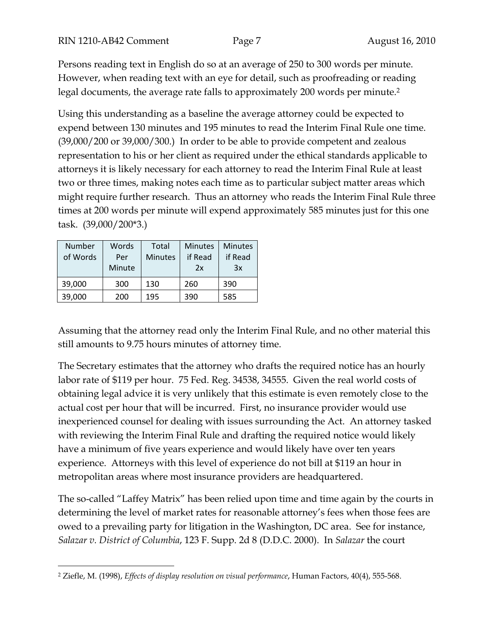Persons reading text in English do so at an average of 250 to 300 words per minute. However, when reading text with an eye for detail, such as proofreading or reading legal documents, the average rate falls to approximately 200 words per minute.<sup>2</sup>

Using this understanding as a baseline the average attorney could be expected to expend between 130 minutes and 195 minutes to read the Interim Final Rule one time. (39,000/200 or 39,000/300.) In order to be able to provide competent and zealous representation to his or her client as required under the ethical standards applicable to attorneys it is likely necessary for each attorney to read the Interim Final Rule at least two or three times, making notes each time as to particular subject matter areas which might require further research. Thus an attorney who reads the Interim Final Rule three times at 200 words per minute will expend approximately 585 minutes just for this one task. (39,000/200\*3.)

| Number<br>of Words | Words<br>Per<br>Minute | Total<br><b>Minutes</b> | <b>Minutes</b><br>if Read<br>2x | <b>Minutes</b><br>if Read<br>3x |
|--------------------|------------------------|-------------------------|---------------------------------|---------------------------------|
| 39,000             | 300                    | 130                     | 260                             | 390                             |
| 39,000             | 200                    | 195                     | 390                             | 585                             |

 $\overline{a}$ 

Assuming that the attorney read only the Interim Final Rule, and no other material this still amounts to 9.75 hours minutes of attorney time.

The Secretary estimates that the attorney who drafts the required notice has an hourly labor rate of \$119 per hour. 75 Fed. Reg. 34538, 34555. Given the real world costs of obtaining legal advice it is very unlikely that this estimate is even remotely close to the actual cost per hour that will be incurred. First, no insurance provider would use inexperienced counsel for dealing with issues surrounding the Act. An attorney tasked with reviewing the Interim Final Rule and drafting the required notice would likely have a minimum of five years experience and would likely have over ten years experience. Attorneys with this level of experience do not bill at \$119 an hour in metropolitan areas where most insurance providers are headquartered.

The so-called "Laffey Matrix" has been relied upon time and time again by the courts in determining the level of market rates for reasonable attorney's fees when those fees are owed to a prevailing party for litigation in the Washington, DC area. See for instance, *Salazar v. District of Columbia*, 123 F. Supp. 2d 8 (D.D.C. 2000). In *Salazar* the court

<sup>2</sup> Ziefle, M. (1998), *Effects of display resolution on visual performance*, Human Factors, 40(4), 555-568.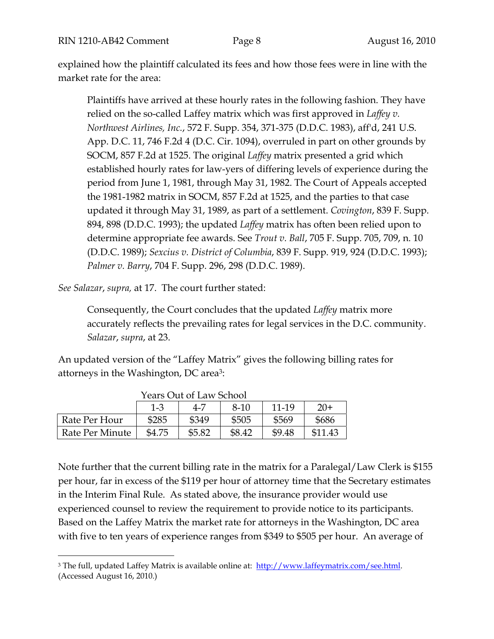explained how the plaintiff calculated its fees and how those fees were in line with the market rate for the area:

Plaintiffs have arrived at these hourly rates in the following fashion. They have relied on the so-called Laffey matrix which was first approved in *Laffey v. Northwest Airlines, Inc.*, 572 F. Supp. 354, 371-375 (D.D.C. 1983), aff'd, 241 U.S. App. D.C. 11, 746 F.2d 4 (D.C. Cir. 1094), overruled in part on other grounds by SOCM, 857 F.2d at 1525. The original *Laffey* matrix presented a grid which established hourly rates for law-yers of differing levels of experience during the period from June 1, 1981, through May 31, 1982. The Court of Appeals accepted the 1981-1982 matrix in SOCM, 857 F.2d at 1525, and the parties to that case updated it through May 31, 1989, as part of a settlement. *Covington*, 839 F. Supp. 894, 898 (D.D.C. 1993); the updated *Laffey* matrix has often been relied upon to determine appropriate fee awards. See *Trout v. Ball*, 705 F. Supp. 705, 709, n. 10 (D.D.C. 1989); *Sexcius v. District of Columbia*, 839 F. Supp. 919, 924 (D.D.C. 1993); *Palmer v. Barry*, 704 F. Supp. 296, 298 (D.D.C. 1989).

*See Salazar*, *supra,* at 17. The court further stated:

 $\overline{a}$ 

Consequently, the Court concludes that the updated *Laffey* matrix more accurately reflects the prevailing rates for legal services in the D.C. community. *Salazar*, *supra*, at 23.

An updated version of the "Laffey Matrix" gives the following billing rates for attorneys in the Washington, DC area3:

|                 | Years Out of Law School |        |        |        |         |
|-----------------|-------------------------|--------|--------|--------|---------|
|                 | $1 - 3$                 | 4-7    | 8-10   | 11-19  | $20+$   |
| Rate Per Hour   | \$285                   | \$349  | \$505  | \$569  | \$686   |
| Rate Per Minute | \$4.75                  | \$5.82 | \$8.42 | \$9.48 | \$11.43 |

 $Q_{\text{tot}}$  of Law Schools

Note further that the current billing rate in the matrix for a Paralegal/Law Clerk is \$155 per hour, far in excess of the \$119 per hour of attorney time that the Secretary estimates in the Interim Final Rule. As stated above, the insurance provider would use experienced counsel to review the requirement to provide notice to its participants. Based on the Laffey Matrix the market rate for attorneys in the Washington, DC area with five to ten years of experience ranges from \$349 to \$505 per hour. An average of

<sup>&</sup>lt;sup>3</sup> The full, updated Laffey Matrix is available online at: http://www.laffeymatrix.com/see.html. (Accessed August 16, 2010.)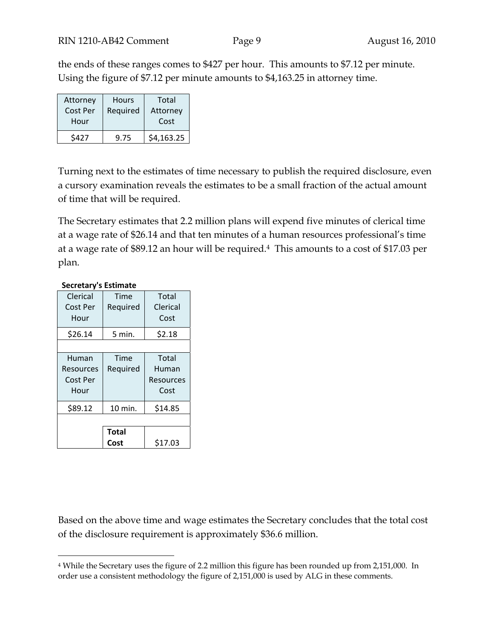the ends of these ranges comes to \$427 per hour. This amounts to \$7.12 per minute. Using the figure of \$7.12 per minute amounts to \$4,163.25 in attorney time.

| Attorney | <b>Hours</b> | Total      |
|----------|--------------|------------|
| Cost Per | Required     | Attorney   |
| Hour     |              | Cost       |
| \$427    | 9.75         | \$4,163.25 |

Turning next to the estimates of time necessary to publish the required disclosure, even a cursory examination reveals the estimates to be a small fraction of the actual amount of time that will be required.

The Secretary estimates that 2.2 million plans will expend five minutes of clerical time at a wage rate of \$26.14 and that ten minutes of a human resources professional's time at a wage rate of \$89.12 an hour will be required.4 This amounts to a cost of \$17.03 per plan.

| Clerical  | Time         | Total     |
|-----------|--------------|-----------|
| Cost Per  | Required     | Clerical  |
| Hour      |              | Cost      |
| \$26.14   | 5 min.       | \$2.18    |
|           |              |           |
| Human     | Time         | Total     |
| Resources | Required     | Human     |
| Cost Per  |              | Resources |
| Hour      |              | Cost      |
| \$89.12   | 10 min.      | \$14.85   |
|           |              |           |
|           | <b>Total</b> |           |
|           | Cost         | \$17.03   |

#### **Secretary's Estimate**

 $\overline{a}$ 

Based on the above time and wage estimates the Secretary concludes that the total cost of the disclosure requirement is approximately \$36.6 million.

<sup>4</sup> While the Secretary uses the figure of 2.2 million this figure has been rounded up from 2,151,000. In order use a consistent methodology the figure of 2,151,000 is used by ALG in these comments.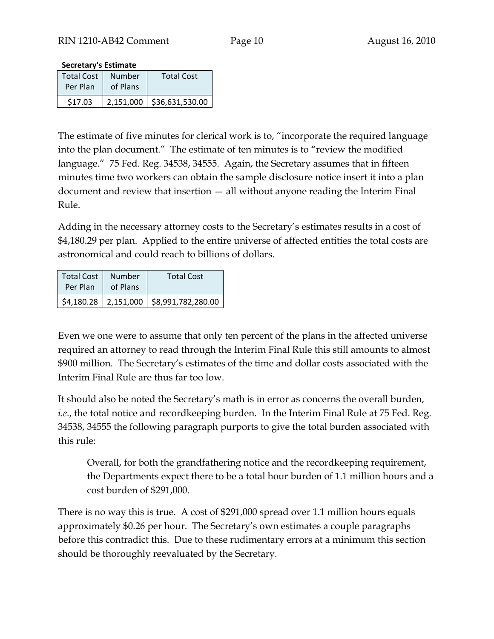#### **Secretary's Estimate**

| <b>Total Cost</b> | Number   | <b>Total Cost</b>           |
|-------------------|----------|-----------------------------|
| Per Plan          | of Plans |                             |
| \$17.03           |          | 2,151,000   \$36,631,530.00 |

The estimate of five minutes for clerical work is to, "incorporate the required language into the plan document." The estimate of ten minutes is to "review the modified language." 75 Fed. Reg. 34538, 34555. Again, the Secretary assumes that in fifteen minutes time two workers can obtain the sample disclosure notice insert it into a plan document and review that insertion — all without anyone reading the Interim Final Rule.

Adding in the necessary attorney costs to the Secretary's estimates results in a cost of \$4,180.29 per plan. Applied to the entire universe of affected entities the total costs are astronomical and could reach to billions of dollars.

| <b>Total Cost</b> | Number   | <b>Total Cost</b>                           |
|-------------------|----------|---------------------------------------------|
| Per Plan          | of Plans |                                             |
|                   |          | \$4,180.28   2,151,000   \$8,991,782,280.00 |

Even we one were to assume that only ten percent of the plans in the affected universe required an attorney to read through the Interim Final Rule this still amounts to almost \$900 million. The Secretary's estimates of the time and dollar costs associated with the Interim Final Rule are thus far too low.

It should also be noted the Secretary's math is in error as concerns the overall burden, *i.e.*, the total notice and recordkeeping burden. In the Interim Final Rule at 75 Fed. Reg. 34538, 34555 the following paragraph purports to give the total burden associated with this rule:

Overall, for both the grandfathering notice and the recordkeeping requirement, the Departments expect there to be a total hour burden of 1.1 million hours and a cost burden of \$291,000.

There is no way this is true. A cost of \$291,000 spread over 1.1 million hours equals approximately \$0.26 per hour. The Secretary's own estimates a couple paragraphs before this contradict this. Due to these rudimentary errors at a minimum this section should be thoroughly reevaluated by the Secretary.